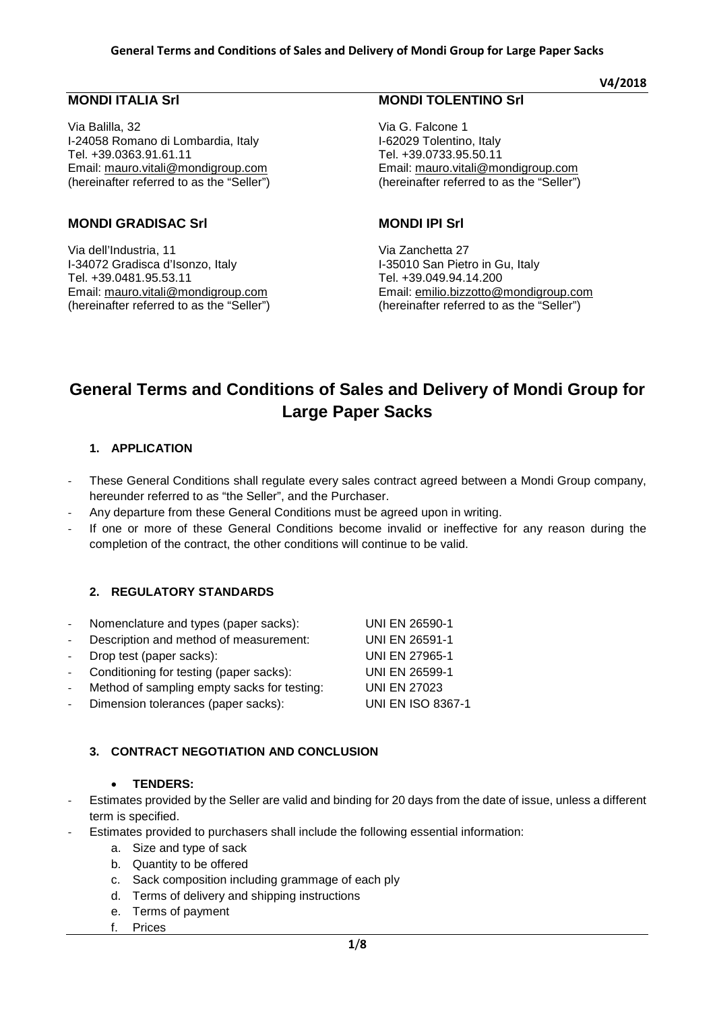# **MONDI ITALIA Srl**

Via Balilla, 32 I-24058 Romano di Lombardia, Italy Tel. +39.0363.91.61.11 Email: [mauro.vitali@mondigroup.com](mailto:mauro.vitali@mondigroup.com) (hereinafter referred to as the "Seller")

# **MONDI GRADISAC Srl**

Via dell'Industria, 11 I-34072 Gradisca d'Isonzo, Italy Tel. +39.0481.95.53.11 Email: [mauro.vitali@mondigroup.com](mailto:mauro.vitali@mondigroup.com) (hereinafter referred to as the "Seller")

# **MONDI TOLENTINO Srl**

Via G. Falcone 1 I-62029 Tolentino, Italy Tel. +39.0733.95.50.11 Email: [mauro.vitali@mondigroup.com](mailto:mauro.vitali@mondigroup.com) (hereinafter referred to as the "Seller")

#### **MONDI IPI Srl**

Via Zanchetta 27 I-35010 San Pietro in Gu, Italy Tel. +39.049.94.14.200 Email: [emilio.bizzotto@mondigroup.com](mailto:emilio.bizzotto@mondigroup.com) (hereinafter referred to as the "Seller")

# **General Terms and Conditions of Sales and Delivery of Mondi Group for Large Paper Sacks**

#### **1. APPLICATION**

- These General Conditions shall regulate every sales contract agreed between a Mondi Group company, hereunder referred to as "the Seller", and the Purchaser.
- Any departure from these General Conditions must be agreed upon in writing.
- If one or more of these General Conditions become invalid or ineffective for any reason during the completion of the contract, the other conditions will continue to be valid.

# **2. REGULATORY STANDARDS**

| Nomenclature and types (paper sacks):       | <b>UNI EN 26590-1</b>    |
|---------------------------------------------|--------------------------|
| Description and method of measurement:      | <b>UNI EN 26591-1</b>    |
| Drop test (paper sacks):                    | <b>UNI EN 27965-1</b>    |
| Conditioning for testing (paper sacks):     | <b>UNI EN 26599-1</b>    |
| Method of sampling empty sacks for testing: | <b>UNI EN 27023</b>      |
| Dimension tolerances (paper sacks):         | <b>UNI EN ISO 8367-1</b> |
|                                             |                          |

#### **3. CONTRACT NEGOTIATION AND CONCLUSION**

#### • **TENDERS:**

- Estimates provided by the Seller are valid and binding for 20 days from the date of issue, unless a different term is specified.
- Estimates provided to purchasers shall include the following essential information:
	- a. Size and type of sack
	- b. Quantity to be offered
	- c. Sack composition including grammage of each ply
	- d. Terms of delivery and shipping instructions
	- e. Terms of payment
	- f. Prices

**V4/2018**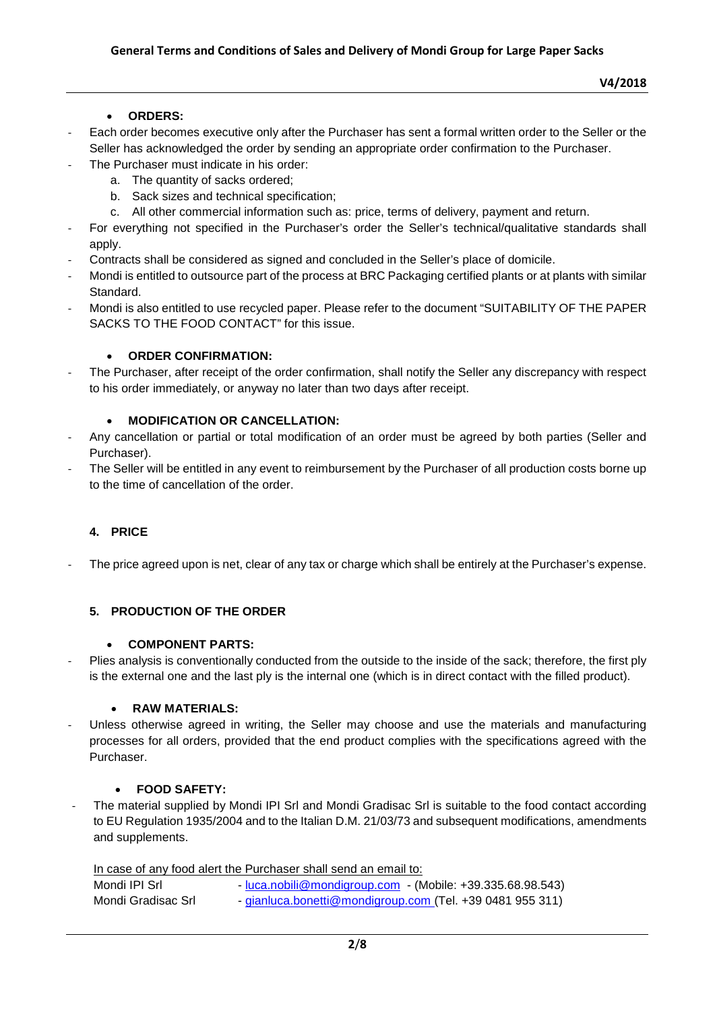# • **ORDERS:**

- Each order becomes executive only after the Purchaser has sent a formal written order to the Seller or the Seller has acknowledged the order by sending an appropriate order confirmation to the Purchaser.
	- The Purchaser must indicate in his order:
		- a. The quantity of sacks ordered;
		- b. Sack sizes and technical specification;
		- c. All other commercial information such as: price, terms of delivery, payment and return.
- For everything not specified in the Purchaser's order the Seller's technical/qualitative standards shall apply.
- Contracts shall be considered as signed and concluded in the Seller's place of domicile.
- Mondi is entitled to outsource part of the process at BRC Packaging certified plants or at plants with similar Standard.
- Mondi is also entitled to use recycled paper. Please refer to the document "SUITABILITY OF THE PAPER SACKS TO THE FOOD CONTACT" for this issue.

# • **ORDER CONFIRMATION:**

The Purchaser, after receipt of the order confirmation, shall notify the Seller any discrepancy with respect to his order immediately, or anyway no later than two days after receipt.

# • **MODIFICATION OR CANCELLATION:**

- Any cancellation or partial or total modification of an order must be agreed by both parties (Seller and Purchaser).
- The Seller will be entitled in any event to reimbursement by the Purchaser of all production costs borne up to the time of cancellation of the order.

# **4. PRICE**

The price agreed upon is net, clear of any tax or charge which shall be entirely at the Purchaser's expense.

# **5. PRODUCTION OF THE ORDER**

# • **COMPONENT PARTS:**

Plies analysis is conventionally conducted from the outside to the inside of the sack; therefore, the first ply is the external one and the last ply is the internal one (which is in direct contact with the filled product).

# • **RAW MATERIALS:**

Unless otherwise agreed in writing, the Seller may choose and use the materials and manufacturing processes for all orders, provided that the end product complies with the specifications agreed with the Purchaser.

# • **FOOD SAFETY:**

- The material supplied by Mondi IPI Srl and Mondi Gradisac Srl is suitable to the food contact according to EU Regulation 1935/2004 and to the Italian D.M. 21/03/73 and subsequent modifications, amendments and supplements.

In case of any food alert the Purchaser shall send an email to: Mondi IPI Srl - [luca.nobili@mondigroup.com](mailto:luca.nobili@mondigroup.com) - (Mobile: +39.335.68.98.543) Mondi Grad

| disac Srl | - gianluca.bonetti@mondigroup.com (Tel. +39 0481 955 311) |  |
|-----------|-----------------------------------------------------------|--|
|           |                                                           |  |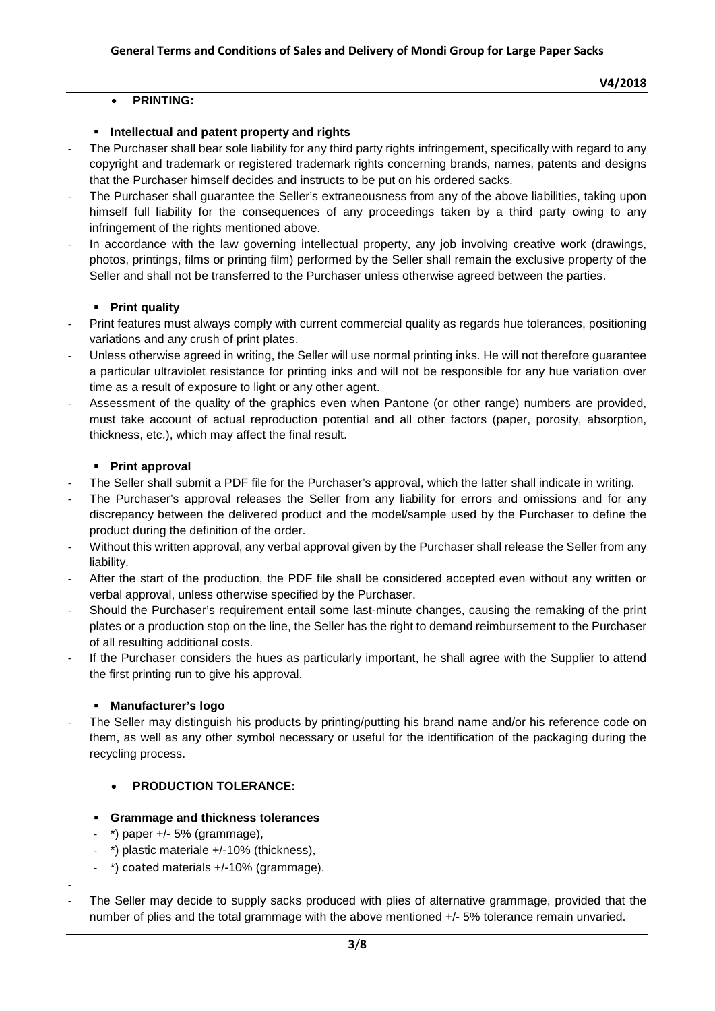# • **PRINTING:**

#### **Intellectual and patent property and rights**

- The Purchaser shall bear sole liability for any third party rights infringement, specifically with regard to any copyright and trademark or registered trademark rights concerning brands, names, patents and designs that the Purchaser himself decides and instructs to be put on his ordered sacks.
- The Purchaser shall guarantee the Seller's extraneousness from any of the above liabilities, taking upon himself full liability for the consequences of any proceedings taken by a third party owing to any infringement of the rights mentioned above.
- In accordance with the law governing intellectual property, any job involving creative work (drawings, photos, printings, films or printing film) performed by the Seller shall remain the exclusive property of the Seller and shall not be transferred to the Purchaser unless otherwise agreed between the parties.

#### **Print quality**

- Print features must always comply with current commercial quality as regards hue tolerances, positioning variations and any crush of print plates.
- Unless otherwise agreed in writing, the Seller will use normal printing inks. He will not therefore guarantee a particular ultraviolet resistance for printing inks and will not be responsible for any hue variation over time as a result of exposure to light or any other agent.
- Assessment of the quality of the graphics even when Pantone (or other range) numbers are provided, must take account of actual reproduction potential and all other factors (paper, porosity, absorption, thickness, etc.), which may affect the final result.

#### **Print approval**

- The Seller shall submit a PDF file for the Purchaser's approval, which the latter shall indicate in writing.
- The Purchaser's approval releases the Seller from any liability for errors and omissions and for any discrepancy between the delivered product and the model/sample used by the Purchaser to define the product during the definition of the order.
- Without this written approval, any verbal approval given by the Purchaser shall release the Seller from any liability.
- After the start of the production, the PDF file shall be considered accepted even without any written or verbal approval, unless otherwise specified by the Purchaser.
- Should the Purchaser's requirement entail some last-minute changes, causing the remaking of the print plates or a production stop on the line, the Seller has the right to demand reimbursement to the Purchaser of all resulting additional costs.
- If the Purchaser considers the hues as particularly important, he shall agree with the Supplier to attend the first printing run to give his approval.

# **Manufacturer's logo**

The Seller may distinguish his products by printing/putting his brand name and/or his reference code on them, as well as any other symbol necessary or useful for the identification of the packaging during the recycling process.

# • **PRODUCTION TOLERANCE:**

#### **Grammage and thickness tolerances**

 $*$ ) paper  $+/-5\%$  (grammage),

-

- $*$ ) plastic materiale  $+/-10\%$  (thickness),
- \*) coated materials +/-10% (grammage).
- The Seller may decide to supply sacks produced with plies of alternative grammage, provided that the number of plies and the total grammage with the above mentioned +/- 5% tolerance remain unvaried.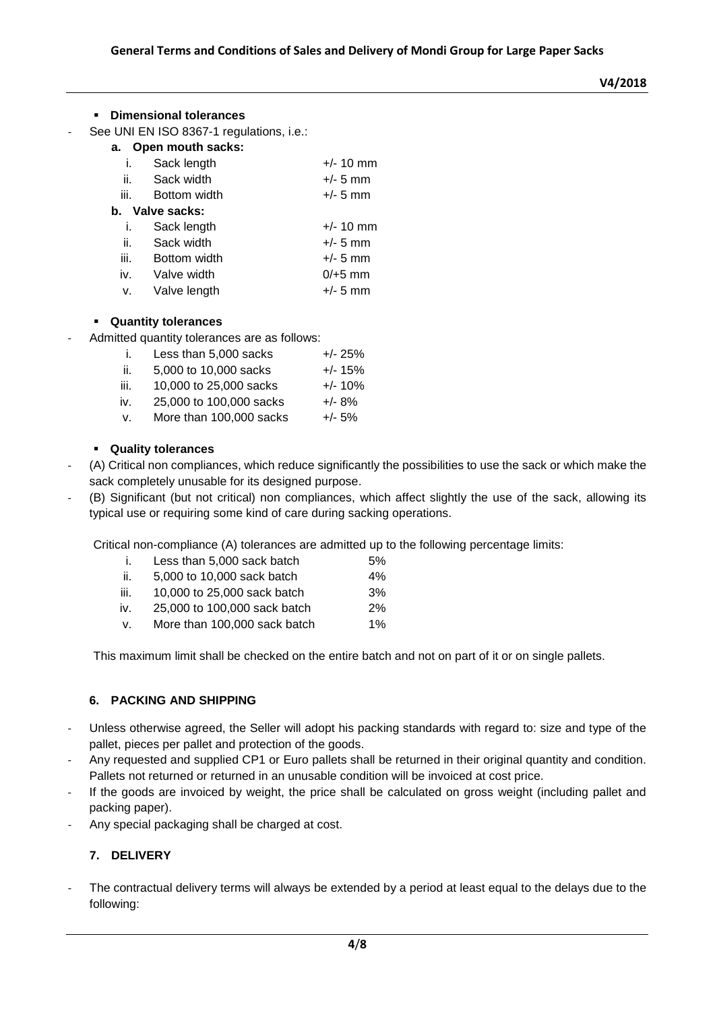#### **Dimensional tolerances**

- See UNI EN ISO 8367-1 regulations, i.e.:
	- **a. Open mouth sacks:**

|                 | i. Sack length  | $+/- 10$ mm |  |  |  |  |  |
|-----------------|-----------------|-------------|--|--|--|--|--|
|                 | ii. Sack width  | $+/- 5$ mm  |  |  |  |  |  |
| iii.            | Bottom width    | $+/- 5$ mm  |  |  |  |  |  |
| b. Valve sacks: |                 |             |  |  |  |  |  |
| i.              | Sack length     | $+/- 10$ mm |  |  |  |  |  |
|                 | ii. Sack width  | $+/- 5$ mm  |  |  |  |  |  |
| iii.            | Bottom width    | $+/- 5$ mm  |  |  |  |  |  |
|                 | iv. Valve width | $0/+5$ mm   |  |  |  |  |  |
| v.              | Valve length    | $+/- 5$ mm  |  |  |  |  |  |
|                 |                 |             |  |  |  |  |  |

#### **Quantity tolerances**

- Admitted quantity tolerances are as follows:
	- i. Less than  $5.000$  sacks  $+/-25\%$
	- ii.  $5,000$  to 10,000 sacks  $+/- 15\%$
	- iii. 10,000 to 25,000 sacks +/- 10%
	- iv. 25,000 to 100,000 sacks +/- 8%
	- v. More than 100,000 sacks +/- 5%

#### **Quality tolerances**

- (A) Critical non compliances, which reduce significantly the possibilities to use the sack or which make the sack completely unusable for its designed purpose.
- (B) Significant (but not critical) non compliances, which affect slightly the use of the sack, allowing its typical use or requiring some kind of care during sacking operations.

Critical non-compliance (A) tolerances are admitted up to the following percentage limits:

|      | Less than 5,000 sack batch   | .5%      |
|------|------------------------------|----------|
| -ii. | 5,000 to 10,000 sack batch   | 4%       |
| iii. | 10,000 to 25,000 sack batch  | 3%       |
| iv.  | 25,000 to 100,000 sack batch | 2%       |
|      |                              | $\cdots$ |

v. More than 100,000 sack batch 1%

This maximum limit shall be checked on the entire batch and not on part of it or on single pallets.

#### **6. PACKING AND SHIPPING**

- Unless otherwise agreed, the Seller will adopt his packing standards with regard to: size and type of the pallet, pieces per pallet and protection of the goods.
- Any requested and supplied CP1 or Euro pallets shall be returned in their original quantity and condition. Pallets not returned or returned in an unusable condition will be invoiced at cost price.
- If the goods are invoiced by weight, the price shall be calculated on gross weight (including pallet and packing paper).
- Any special packaging shall be charged at cost.

#### **7. DELIVERY**

The contractual delivery terms will always be extended by a period at least equal to the delays due to the following: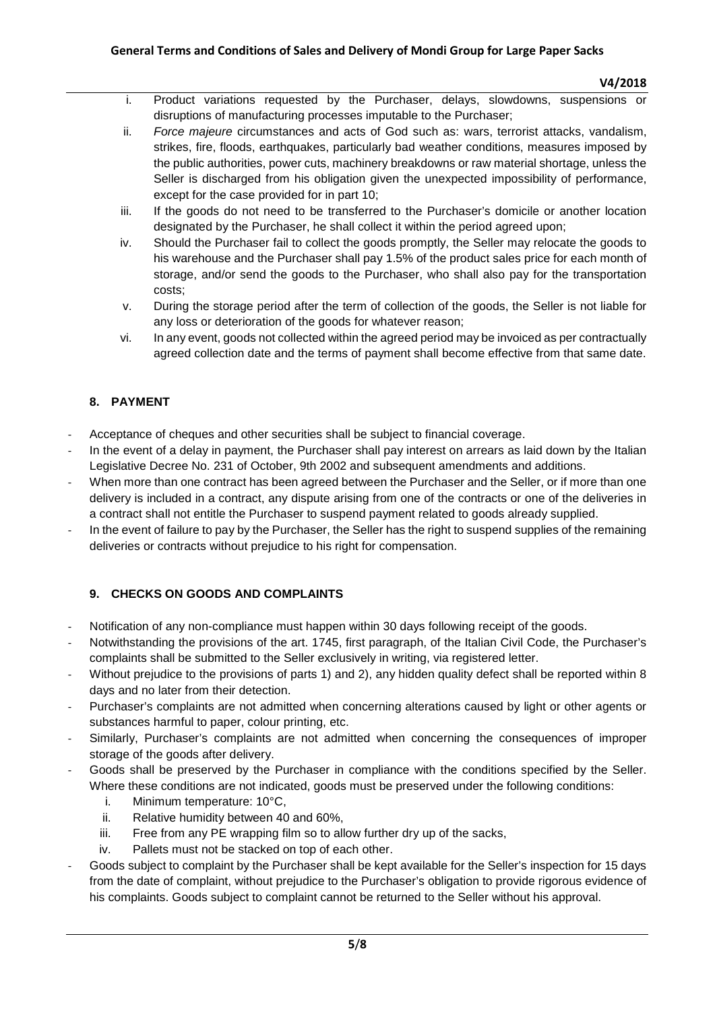- i. Product variations requested by the Purchaser, delays, slowdowns, suspensions or disruptions of manufacturing processes imputable to the Purchaser;
- ii. *Force majeure* circumstances and acts of God such as: wars, terrorist attacks, vandalism, strikes, fire, floods, earthquakes, particularly bad weather conditions, measures imposed by the public authorities, power cuts, machinery breakdowns or raw material shortage, unless the Seller is discharged from his obligation given the unexpected impossibility of performance, except for the case provided for in part 10;
- iii. If the goods do not need to be transferred to the Purchaser's domicile or another location designated by the Purchaser, he shall collect it within the period agreed upon;
- iv. Should the Purchaser fail to collect the goods promptly, the Seller may relocate the goods to his warehouse and the Purchaser shall pay 1.5% of the product sales price for each month of storage, and/or send the goods to the Purchaser, who shall also pay for the transportation costs;
- v. During the storage period after the term of collection of the goods, the Seller is not liable for any loss or deterioration of the goods for whatever reason;
- vi. In any event, goods not collected within the agreed period may be invoiced as per contractually agreed collection date and the terms of payment shall become effective from that same date.

# **8. PAYMENT**

- Acceptance of cheques and other securities shall be subject to financial coverage.
- In the event of a delay in payment, the Purchaser shall pay interest on arrears as laid down by the Italian Legislative Decree No. 231 of October, 9th 2002 and subsequent amendments and additions.
- When more than one contract has been agreed between the Purchaser and the Seller, or if more than one delivery is included in a contract, any dispute arising from one of the contracts or one of the deliveries in a contract shall not entitle the Purchaser to suspend payment related to goods already supplied.
- In the event of failure to pay by the Purchaser, the Seller has the right to suspend supplies of the remaining deliveries or contracts without prejudice to his right for compensation.

# **9. CHECKS ON GOODS AND COMPLAINTS**

- Notification of any non-compliance must happen within 30 days following receipt of the goods.
- Notwithstanding the provisions of the art. 1745, first paragraph, of the Italian Civil Code, the Purchaser's complaints shall be submitted to the Seller exclusively in writing, via registered letter.
- Without prejudice to the provisions of parts 1) and 2), any hidden quality defect shall be reported within 8 days and no later from their detection.
- Purchaser's complaints are not admitted when concerning alterations caused by light or other agents or substances harmful to paper, colour printing, etc.
- Similarly, Purchaser's complaints are not admitted when concerning the consequences of improper storage of the goods after delivery.
- Goods shall be preserved by the Purchaser in compliance with the conditions specified by the Seller. Where these conditions are not indicated, goods must be preserved under the following conditions:
	- i. Minimum temperature: 10°C,
	- ii. Relative humidity between 40 and 60%,
	- iii. Free from any PE wrapping film so to allow further dry up of the sacks,
	- iv. Pallets must not be stacked on top of each other.
- Goods subject to complaint by the Purchaser shall be kept available for the Seller's inspection for 15 days from the date of complaint, without prejudice to the Purchaser's obligation to provide rigorous evidence of his complaints. Goods subject to complaint cannot be returned to the Seller without his approval.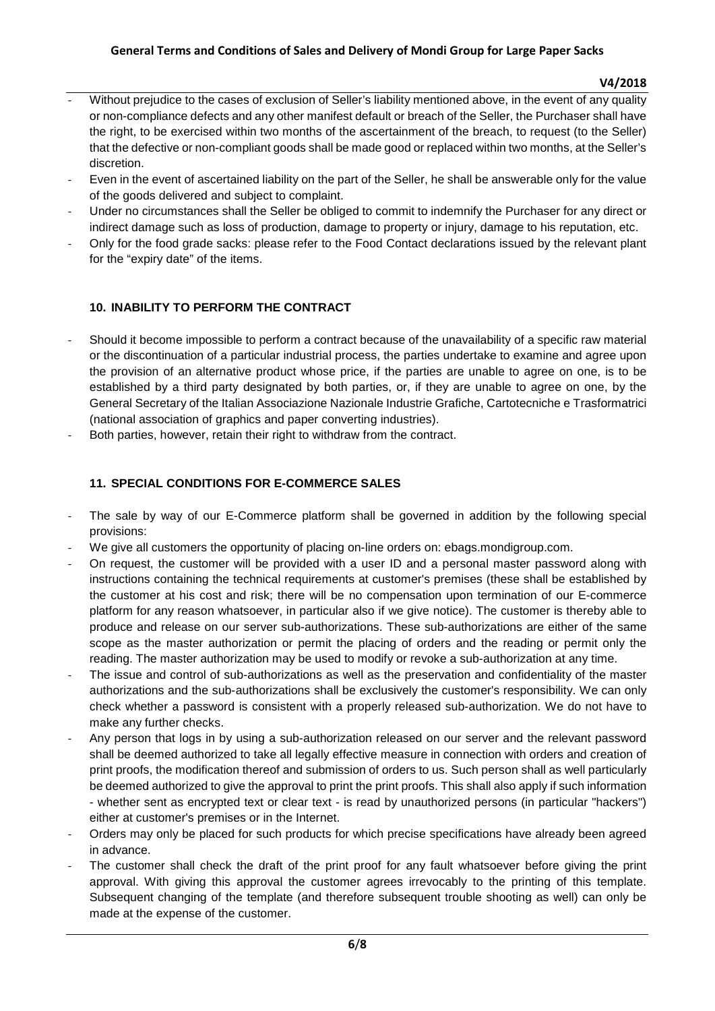#### **General Terms and Conditions of Sales and Delivery of Mondi Group for Large Paper Sacks**

#### **V4/2018**

- Without prejudice to the cases of exclusion of Seller's liability mentioned above, in the event of any quality or non-compliance defects and any other manifest default or breach of the Seller, the Purchaser shall have the right, to be exercised within two months of the ascertainment of the breach, to request (to the Seller) that the defective or non-compliant goods shall be made good or replaced within two months, at the Seller's discretion.
- Even in the event of ascertained liability on the part of the Seller, he shall be answerable only for the value of the goods delivered and subject to complaint.
- Under no circumstances shall the Seller be obliged to commit to indemnify the Purchaser for any direct or indirect damage such as loss of production, damage to property or injury, damage to his reputation, etc.
- Only for the food grade sacks: please refer to the Food Contact declarations issued by the relevant plant for the "expiry date" of the items.

# **10. INABILITY TO PERFORM THE CONTRACT**

- Should it become impossible to perform a contract because of the unavailability of a specific raw material or the discontinuation of a particular industrial process, the parties undertake to examine and agree upon the provision of an alternative product whose price, if the parties are unable to agree on one, is to be established by a third party designated by both parties, or, if they are unable to agree on one, by the General Secretary of the Italian Associazione Nazionale Industrie Grafiche, Cartotecniche e Trasformatrici (national association of graphics and paper converting industries).
- Both parties, however, retain their right to withdraw from the contract.

# **11. SPECIAL CONDITIONS FOR E-COMMERCE SALES**

- The sale by way of our E-Commerce platform shall be governed in addition by the following special provisions:
- We give all customers the opportunity of placing on-line orders on: ebags.mondigroup.com.
- On request, the customer will be provided with a user ID and a personal master password along with instructions containing the technical requirements at customer's premises (these shall be established by the customer at his cost and risk; there will be no compensation upon termination of our E-commerce platform for any reason whatsoever, in particular also if we give notice). The customer is thereby able to produce and release on our server sub-authorizations. These sub-authorizations are either of the same scope as the master authorization or permit the placing of orders and the reading or permit only the reading. The master authorization may be used to modify or revoke a sub-authorization at any time.
- The issue and control of sub-authorizations as well as the preservation and confidentiality of the master authorizations and the sub-authorizations shall be exclusively the customer's responsibility. We can only check whether a password is consistent with a properly released sub-authorization. We do not have to make any further checks.
- Any person that logs in by using a sub-authorization released on our server and the relevant password shall be deemed authorized to take all legally effective measure in connection with orders and creation of print proofs, the modification thereof and submission of orders to us. Such person shall as well particularly be deemed authorized to give the approval to print the print proofs. This shall also apply if such information - whether sent as encrypted text or clear text - is read by unauthorized persons (in particular "hackers") either at customer's premises or in the Internet.
- Orders may only be placed for such products for which precise specifications have already been agreed in advance.
- The customer shall check the draft of the print proof for any fault whatsoever before giving the print approval. With giving this approval the customer agrees irrevocably to the printing of this template. Subsequent changing of the template (and therefore subsequent trouble shooting as well) can only be made at the expense of the customer.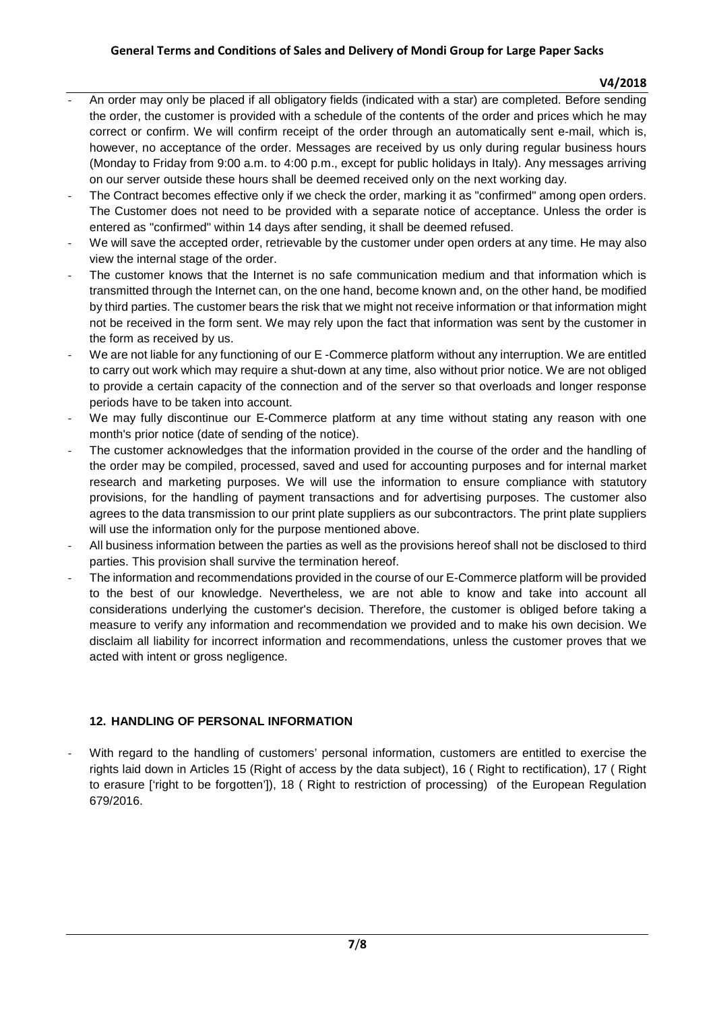#### **V4/2018**

- An order may only be placed if all obligatory fields (indicated with a star) are completed. Before sending the order, the customer is provided with a schedule of the contents of the order and prices which he may correct or confirm. We will confirm receipt of the order through an automatically sent e-mail, which is, however, no acceptance of the order. Messages are received by us only during regular business hours (Monday to Friday from 9:00 a.m. to 4:00 p.m., except for public holidays in Italy). Any messages arriving on our server outside these hours shall be deemed received only on the next working day.
- The Contract becomes effective only if we check the order, marking it as "confirmed" among open orders. The Customer does not need to be provided with a separate notice of acceptance. Unless the order is entered as "confirmed" within 14 days after sending, it shall be deemed refused.
- We will save the accepted order, retrievable by the customer under open orders at any time. He may also view the internal stage of the order.
- The customer knows that the Internet is no safe communication medium and that information which is transmitted through the Internet can, on the one hand, become known and, on the other hand, be modified by third parties. The customer bears the risk that we might not receive information or that information might not be received in the form sent. We may rely upon the fact that information was sent by the customer in the form as received by us.
- We are not liable for any functioning of our E -Commerce platform without any interruption. We are entitled to carry out work which may require a shut-down at any time, also without prior notice. We are not obliged to provide a certain capacity of the connection and of the server so that overloads and longer response periods have to be taken into account.
- We may fully discontinue our E-Commerce platform at any time without stating any reason with one month's prior notice (date of sending of the notice).
- The customer acknowledges that the information provided in the course of the order and the handling of the order may be compiled, processed, saved and used for accounting purposes and for internal market research and marketing purposes. We will use the information to ensure compliance with statutory provisions, for the handling of payment transactions and for advertising purposes. The customer also agrees to the data transmission to our print plate suppliers as our subcontractors. The print plate suppliers will use the information only for the purpose mentioned above.
- All business information between the parties as well as the provisions hereof shall not be disclosed to third parties. This provision shall survive the termination hereof.
- The information and recommendations provided in the course of our E-Commerce platform will be provided to the best of our knowledge. Nevertheless, we are not able to know and take into account all considerations underlying the customer's decision. Therefore, the customer is obliged before taking a measure to verify any information and recommendation we provided and to make his own decision. We disclaim all liability for incorrect information and recommendations, unless the customer proves that we acted with intent or gross negligence.

# **12. HANDLING OF PERSONAL INFORMATION**

With regard to the handling of customers' personal information, customers are entitled to exercise the rights laid down in Articles 15 (Right of access by the data subject), 16 ( Right to rectification), 17 ( Right to erasure ['right to be forgotten']), 18 ( Right to restriction of processing) of the European Regulation 679/2016.